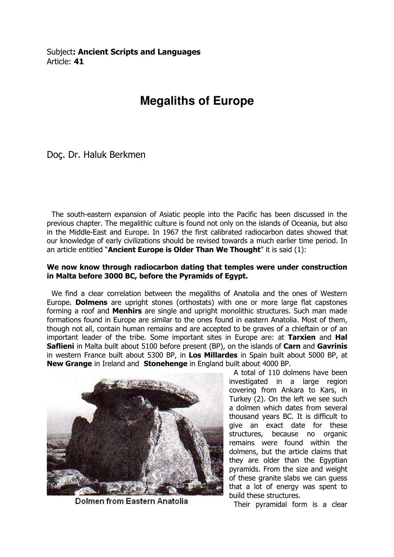## **Megaliths of Europe**

Doç. Dr. Haluk Berkmen

 The south-eastern expansion of Asiatic people into the Pacific has been discussed in the previous chapter. The megalithic culture is found not only on the islands of Oceania, but also in the Middle-East and Europe. In 1967 the first calibrated radiocarbon dates showed that our knowledge of early civilizations should be revised towards a much earlier time period. In an article entitled "Ancient Europe is Older Than We Thought" it is said  $(1)$ :

## We now know through radiocarbon dating that temples were under construction in Malta before 3000 BC, before the Pyramids of Egypt.

 We find a clear correlation between the megaliths of Anatolia and the ones of Western Europe. Dolmens are upright stones (orthostats) with one or more large flat capstones forming a roof and **Menhirs** are single and upright monolithic structures. Such man made formations found in Europe are similar to the ones found in eastern Anatolia. Most of them, though not all, contain human remains and are accepted to be graves of a chieftain or of an important leader of the tribe. Some important sites in Europe are: at Tarxien and Hal Saflieni in Malta built about 5100 before present (BP), on the islands of Carn and Gavrinis in western France built about 5300 BP, in Los Millardes in Spain built about 5000 BP, at New Grange in Ireland and Stonehenge in England built about 4000 BP.



Dolmen from Eastern Anatolia

 A total of 110 dolmens have been investigated in a large region covering from Ankara to Kars, in Turkey (2). On the left we see such a dolmen which dates from several thousand years BC. It is difficult to give an exact date for these structures, because no organic remains were found within the dolmens, but the article claims that they are older than the Egyptian pyramids. From the size and weight of these granite slabs we can guess that a lot of energy was spent to build these structures.

Their pyramidal form is a clear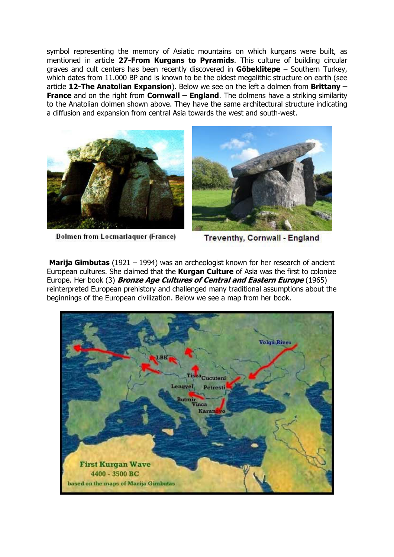symbol representing the memory of Asiatic mountains on which kurgans were built, as mentioned in article 27-From Kurgans to Pyramids. This culture of building circular graves and cult centers has been recently discovered in **Göbeklitepe** – Southern Turkey, which dates from 11.000 BP and is known to be the oldest megalithic structure on earth (see article 12-The Anatolian Expansion). Below we see on the left a dolmen from Brittany  $-$ **France** and on the right from **Cornwall – England**. The dolmens have a striking similarity to the Anatolian dolmen shown above. They have the same architectural structure indicating a diffusion and expansion from central Asia towards the west and south-west.





**Dolmen from Locmariaquer (France)** 

Treventhy, Cornwall - England

**Marija Gimbutas** (1921 – 1994) was an archeologist known for her research of ancient European cultures. She claimed that the **Kurgan Culture** of Asia was the first to colonize Europe. Her book (3) **Bronze Age Cultures of Central and Eastern Europe** (1965) reinterpreted European prehistory and challenged many traditional assumptions about the beginnings of the European civilization. Below we see a map from her book.